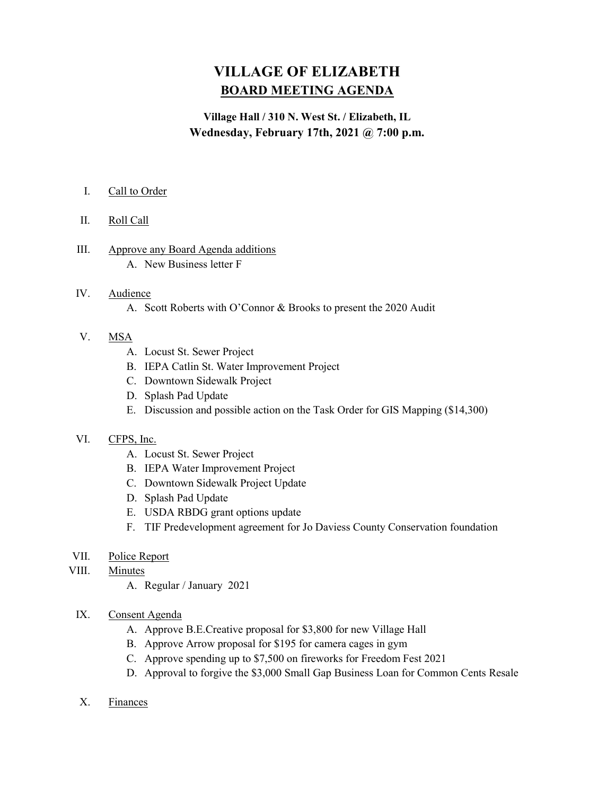# VILLAGE OF ELIZABETH BOARD MEETING AGENDA

# Village Hall / 310 N. West St. / Elizabeth, IL Wednesday, February 17th, 2021 @ 7:00 p.m.

# I. Call to Order

- II. Roll Call
- III. Approve any Board Agenda additions A. New Business letter F

#### IV. Audience

A. Scott Roberts with O'Connor & Brooks to present the 2020 Audit

## V. MSA

- A. Locust St. Sewer Project
- B. IEPA Catlin St. Water Improvement Project
- C. Downtown Sidewalk Project
- D. Splash Pad Update
- E. Discussion and possible action on the Task Order for GIS Mapping (\$14,300)

#### VI. CFPS, Inc.

- A. Locust St. Sewer Project
- B. IEPA Water Improvement Project
- C. Downtown Sidewalk Project Update
- D. Splash Pad Update
- E. USDA RBDG grant options update
- F. TIF Predevelopment agreement for Jo Daviess County Conservation foundation

#### VII. Police Report

- VIII. Minutes
	- A. Regular / January 2021

# IX. Consent Agenda

- A. Approve B.E.Creative proposal for \$3,800 for new Village Hall
- B. Approve Arrow proposal for \$195 for camera cages in gym
- C. Approve spending up to \$7,500 on fireworks for Freedom Fest 2021
- D. Approval to forgive the \$3,000 Small Gap Business Loan for Common Cents Resale
- X. Finances